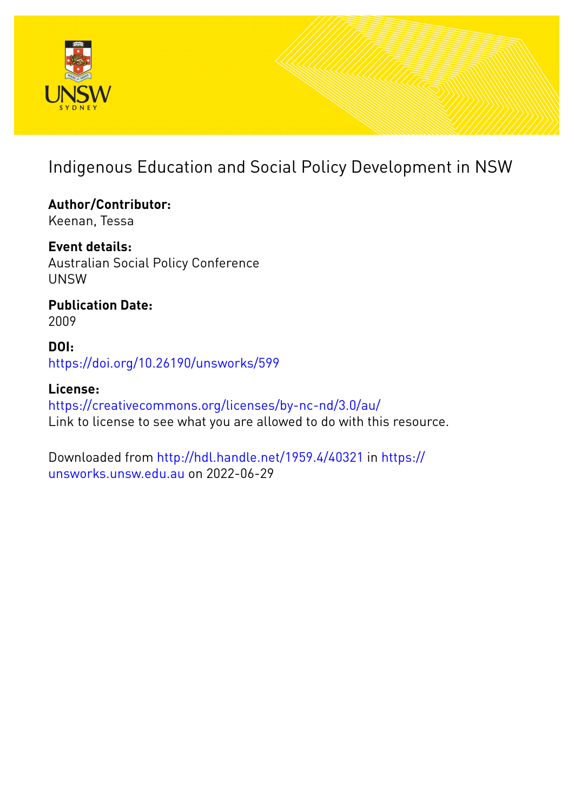

# Indigenous Education and Social Policy Development in NSW

**Author/Contributor:** Keenan, Tessa

**Event details:** Australian Social Policy Conference UNSW

**Publication Date:** 2009

**DOI:** [https://doi.org/10.26190/unsworks/599](http://dx.doi.org/https://doi.org/10.26190/unsworks/599)

**License:** <https://creativecommons.org/licenses/by-nc-nd/3.0/au/> Link to license to see what you are allowed to do with this resource.

Downloaded from <http://hdl.handle.net/1959.4/40321> in [https://](https://unsworks.unsw.edu.au) [unsworks.unsw.edu.au](https://unsworks.unsw.edu.au) on 2022-06-29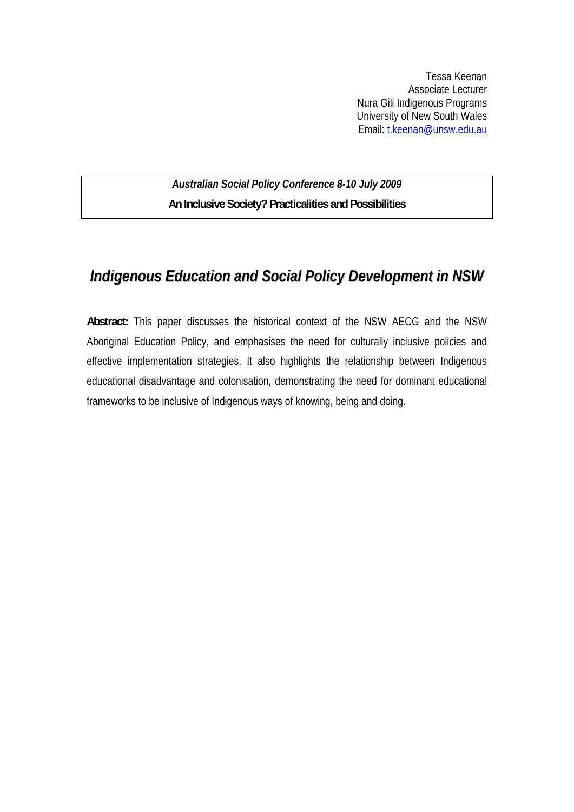Tessa Keenan Associate Lecturer Nura Gili Indigenous Programs University of New South Wales Email: [t.keenan@unsw.edu.au](mailto:t.keenan@unsw.edu.au)

*Australian Social Policy Conference 8-10 July 2009*  **An Inclusive Society? Practicalities and Possibilities** 

## *Indigenous Education and Social Policy Development in NSW*

**Abstract:** This paper discusses the historical context of the NSW AECG and the NSW Aboriginal Education Policy, and emphasises the need for culturally inclusive policies and effective implementation strategies. It also highlights the relationship between Indigenous educational disadvantage and colonisation, demonstrating the need for dominant educational frameworks to be inclusive of Indigenous ways of knowing, being and doing.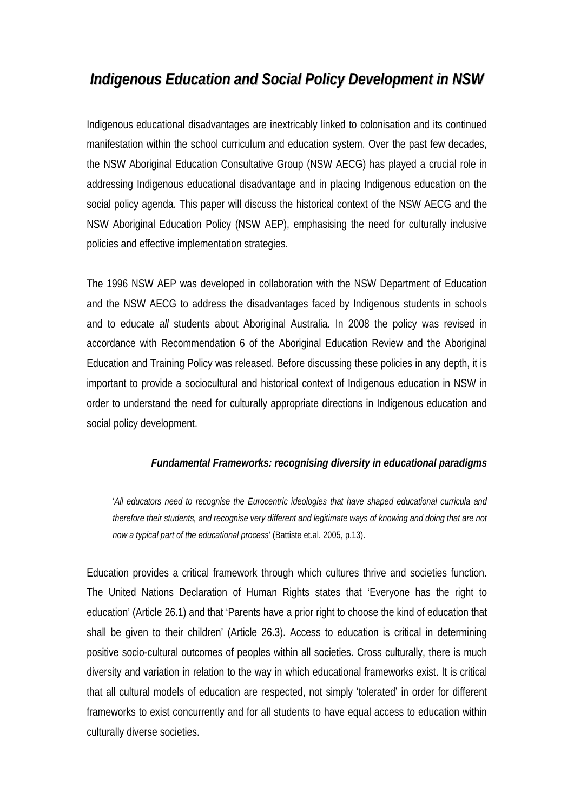# *Indigenous Education and Social Policy Development in NSW*

Indigenous educational disadvantages are inextricably linked to colonisation and its continued manifestation within the school curriculum and education system. Over the past few decades, the NSW Aboriginal Education Consultative Group (NSW AECG) has played a crucial role in addressing Indigenous educational disadvantage and in placing Indigenous education on the social policy agenda. This paper will discuss the historical context of the NSW AECG and the NSW Aboriginal Education Policy (NSW AEP), emphasising the need for culturally inclusive policies and effective implementation strategies.

The 1996 NSW AEP was developed in collaboration with the NSW Department of Education and the NSW AECG to address the disadvantages faced by Indigenous students in schools and to educate *all* students about Aboriginal Australia. In 2008 the policy was revised in accordance with Recommendation 6 of the Aboriginal Education Review and the Aboriginal Education and Training Policy was released. Before discussing these policies in any depth, it is important to provide a sociocultural and historical context of Indigenous education in NSW in order to understand the need for culturally appropriate directions in Indigenous education and social policy development.

### *Fundamental Frameworks: recognising diversity in educational paradigms*

'*All educators need to recognise the Eurocentric ideologies that have shaped educational curricula and therefore their students, and recognise very different and legitimate ways of knowing and doing that are not now a typical part of the educational process*' (Battiste et.al. 2005, p.13).

Education provides a critical framework through which cultures thrive and societies function. The United Nations Declaration of Human Rights states that 'Everyone has the right to education' (Article 26.1) and that 'Parents have a prior right to choose the kind of education that shall be given to their children' (Article 26.3). Access to education is critical in determining positive socio-cultural outcomes of peoples within all societies. Cross culturally, there is much diversity and variation in relation to the way in which educational frameworks exist. It is critical that all cultural models of education are respected, not simply 'tolerated' in order for different frameworks to exist concurrently and for all students to have equal access to education within culturally diverse societies.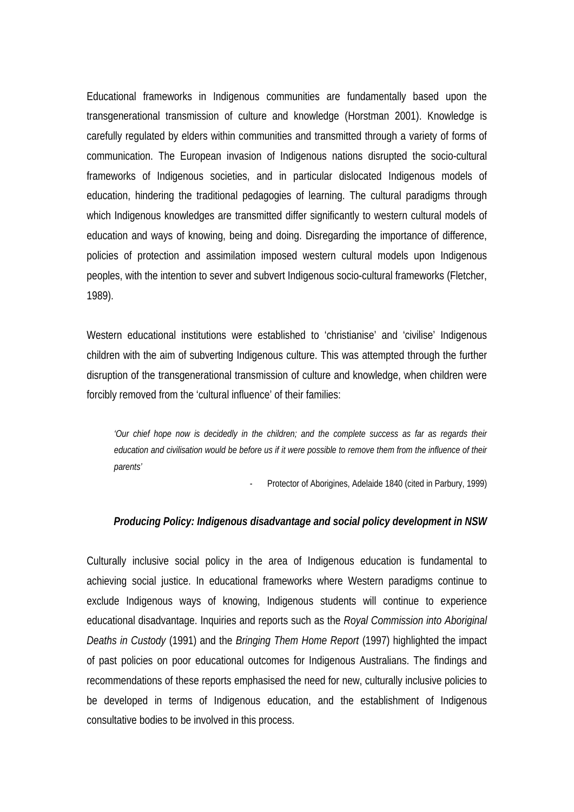Educational frameworks in Indigenous communities are fundamentally based upon the transgenerational transmission of culture and knowledge (Horstman 2001). Knowledge is carefully regulated by elders within communities and transmitted through a variety of forms of communication. The European invasion of Indigenous nations disrupted the socio-cultural frameworks of Indigenous societies, and in particular dislocated Indigenous models of education, hindering the traditional pedagogies of learning. The cultural paradigms through which Indigenous knowledges are transmitted differ significantly to western cultural models of education and ways of knowing, being and doing. Disregarding the importance of difference, policies of protection and assimilation imposed western cultural models upon Indigenous peoples, with the intention to sever and subvert Indigenous socio-cultural frameworks (Fletcher, 1989).

Western educational institutions were established to 'christianise' and 'civilise' Indigenous children with the aim of subverting Indigenous culture. This was attempted through the further disruption of the transgenerational transmission of culture and knowledge, when children were forcibly removed from the 'cultural influence' of their families:

*'Our chief hope now is decidedly in the children; and the complete success as far as regards their education and civilisation would be before us if it were possible to remove them from the influence of their parents'* 

- Protector of Aborigines, Adelaide 1840 (cited in Parbury, 1999)

#### *Producing Policy: Indigenous disadvantage and social policy development in NSW*

Culturally inclusive social policy in the area of Indigenous education is fundamental to achieving social justice. In educational frameworks where Western paradigms continue to exclude Indigenous ways of knowing, Indigenous students will continue to experience educational disadvantage. Inquiries and reports such as the *Royal Commission into Aboriginal Deaths in Custody* (1991) and the *Bringing Them Home Report* (1997) highlighted the impact of past policies on poor educational outcomes for Indigenous Australians. The findings and recommendations of these reports emphasised the need for new, culturally inclusive policies to be developed in terms of Indigenous education, and the establishment of Indigenous consultative bodies to be involved in this process.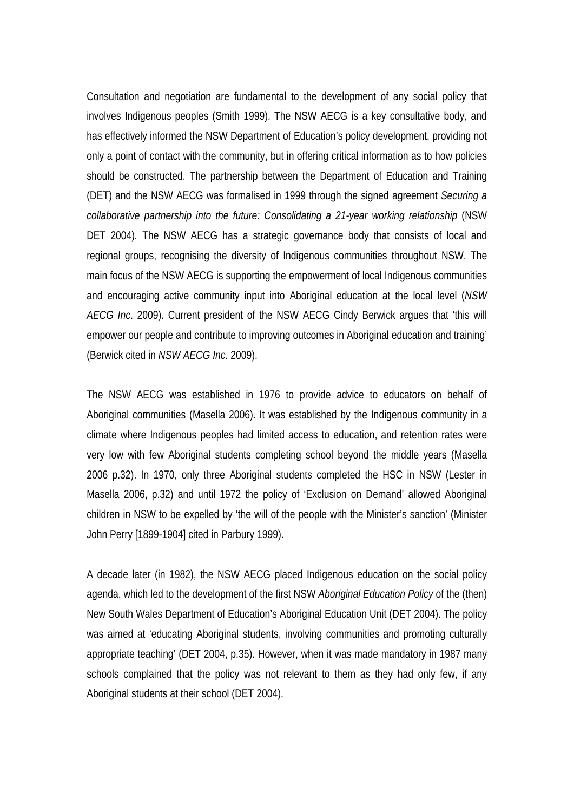Consultation and negotiation are fundamental to the development of any social policy that involves Indigenous peoples (Smith 1999). The NSW AECG is a key consultative body, and has effectively informed the NSW Department of Education's policy development, providing not only a point of contact with the community, but in offering critical information as to how policies should be constructed. The partnership between the Department of Education and Training (DET) and the NSW AECG was formalised in 1999 through the signed agreement *Securing a collaborative partnership into the future: Consolidating a 21-year working relationship* (NSW DET 2004)*.* The NSW AECG has a strategic governance body that consists of local and regional groups, recognising the diversity of Indigenous communities throughout NSW. The main focus of the NSW AECG is supporting the empowerment of local Indigenous communities and encouraging active community input into Aboriginal education at the local level (*NSW AECG Inc*. 2009). Current president of the NSW AECG Cindy Berwick argues that 'this will empower our people and contribute to improving outcomes in Aboriginal education and training' (Berwick cited in *NSW AECG Inc*. 2009).

The NSW AECG was established in 1976 to provide advice to educators on behalf of Aboriginal communities (Masella 2006). It was established by the Indigenous community in a climate where Indigenous peoples had limited access to education, and retention rates were very low with few Aboriginal students completing school beyond the middle years (Masella 2006 p.32). In 1970, only three Aboriginal students completed the HSC in NSW (Lester in Masella 2006, p.32) and until 1972 the policy of 'Exclusion on Demand' allowed Aboriginal children in NSW to be expelled by 'the will of the people with the Minister's sanction' (Minister John Perry [1899-1904] cited in Parbury 1999).

A decade later (in 1982), the NSW AECG placed Indigenous education on the social policy agenda, which led to the development of the first NSW *Aboriginal Education Policy* of the (then) New South Wales Department of Education's Aboriginal Education Unit (DET 2004). The policy was aimed at 'educating Aboriginal students, involving communities and promoting culturally appropriate teaching' (DET 2004, p.35). However, when it was made mandatory in 1987 many schools complained that the policy was not relevant to them as they had only few, if any Aboriginal students at their school (DET 2004).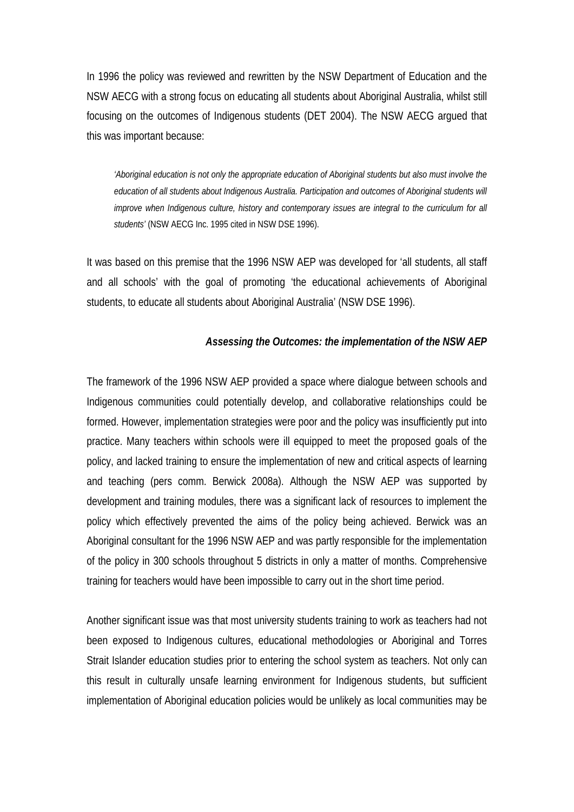In 1996 the policy was reviewed and rewritten by the NSW Department of Education and the NSW AECG with a strong focus on educating all students about Aboriginal Australia, whilst still focusing on the outcomes of Indigenous students (DET 2004). The NSW AECG argued that this was important because:

*'Aboriginal education is not only the appropriate education of Aboriginal students but also must involve the education of all students about Indigenous Australia. Participation and outcomes of Aboriginal students will improve when Indigenous culture, history and contemporary issues are integral to the curriculum for all students'* (NSW AECG Inc. 1995 cited in NSW DSE 1996).

It was based on this premise that the 1996 NSW AEP was developed for 'all students, all staff and all schools' with the goal of promoting 'the educational achievements of Aboriginal students, to educate all students about Aboriginal Australia' (NSW DSE 1996).

#### *Assessing the Outcomes: the implementation of the NSW AEP*

The framework of the 1996 NSW AEP provided a space where dialogue between schools and Indigenous communities could potentially develop, and collaborative relationships could be formed. However, implementation strategies were poor and the policy was insufficiently put into practice. Many teachers within schools were ill equipped to meet the proposed goals of the policy, and lacked training to ensure the implementation of new and critical aspects of learning and teaching (pers comm. Berwick 2008a). Although the NSW AEP was supported by development and training modules, there was a significant lack of resources to implement the policy which effectively prevented the aims of the policy being achieved. Berwick was an Aboriginal consultant for the 1996 NSW AEP and was partly responsible for the implementation of the policy in 300 schools throughout 5 districts in only a matter of months. Comprehensive training for teachers would have been impossible to carry out in the short time period.

Another significant issue was that most university students training to work as teachers had not been exposed to Indigenous cultures, educational methodologies or Aboriginal and Torres Strait Islander education studies prior to entering the school system as teachers. Not only can this result in culturally unsafe learning environment for Indigenous students, but sufficient implementation of Aboriginal education policies would be unlikely as local communities may be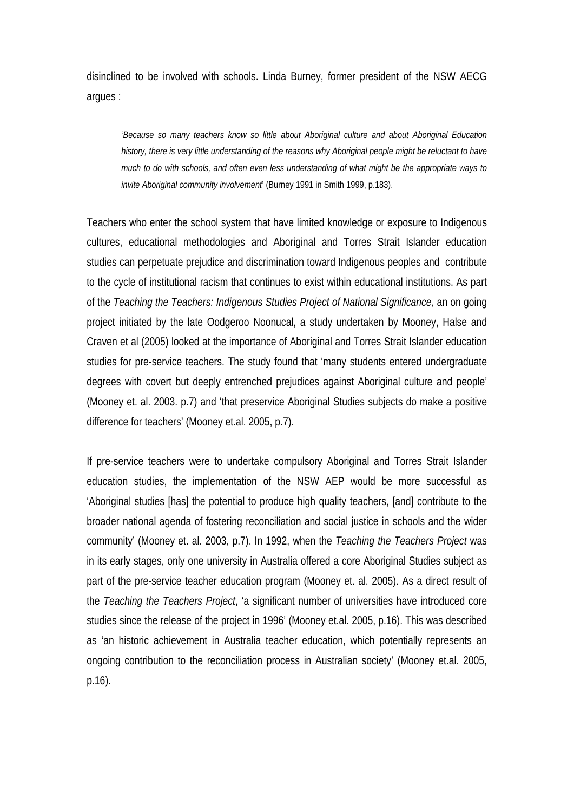disinclined to be involved with schools. Linda Burney, former president of the NSW AECG argues :

'*Because so many teachers know so little about Aboriginal culture and about Aboriginal Education history, there is very little understanding of the reasons why Aboriginal people might be reluctant to have much to do with schools, and often even less understanding of what might be the appropriate ways to invite Aboriginal community involvement*' (Burney 1991 in Smith 1999, p.183).

Teachers who enter the school system that have limited knowledge or exposure to Indigenous cultures, educational methodologies and Aboriginal and Torres Strait Islander education studies can perpetuate prejudice and discrimination toward Indigenous peoples and contribute to the cycle of institutional racism that continues to exist within educational institutions. As part of the *Teaching the Teachers: Indigenous Studies Project of National Significance*, an on going project initiated by the late Oodgeroo Noonucal, a study undertaken by Mooney, Halse and Craven et al (2005) looked at the importance of Aboriginal and Torres Strait Islander education studies for pre-service teachers. The study found that 'many students entered undergraduate degrees with covert but deeply entrenched prejudices against Aboriginal culture and people' (Mooney et. al. 2003. p.7) and 'that preservice Aboriginal Studies subjects do make a positive difference for teachers' (Mooney et.al. 2005, p.7).

If pre-service teachers were to undertake compulsory Aboriginal and Torres Strait Islander education studies, the implementation of the NSW AEP would be more successful as 'Aboriginal studies [has] the potential to produce high quality teachers, [and] contribute to the broader national agenda of fostering reconciliation and social justice in schools and the wider community' (Mooney et. al. 2003, p.7). In 1992, when the *Teaching the Teachers Project* was in its early stages, only one university in Australia offered a core Aboriginal Studies subject as part of the pre-service teacher education program (Mooney et. al. 2005). As a direct result of the *Teaching the Teachers Project*, 'a significant number of universities have introduced core studies since the release of the project in 1996' (Mooney et.al. 2005, p.16). This was described as 'an historic achievement in Australia teacher education, which potentially represents an ongoing contribution to the reconciliation process in Australian society' (Mooney et.al. 2005, p.16).

6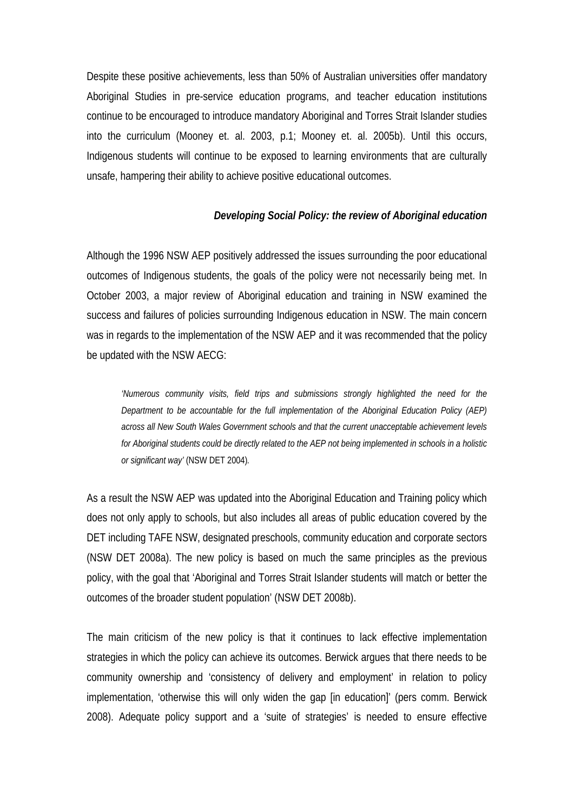Despite these positive achievements, less than 50% of Australian universities offer mandatory Aboriginal Studies in pre-service education programs, and teacher education institutions continue to be encouraged to introduce mandatory Aboriginal and Torres Strait Islander studies into the curriculum (Mooney et. al. 2003, p.1; Mooney et. al. 2005b). Until this occurs, Indigenous students will continue to be exposed to learning environments that are culturally unsafe, hampering their ability to achieve positive educational outcomes.

### *Developing Social Policy: the review of Aboriginal education*

Although the 1996 NSW AEP positively addressed the issues surrounding the poor educational outcomes of Indigenous students, the goals of the policy were not necessarily being met. In October 2003, a major review of Aboriginal education and training in NSW examined the success and failures of policies surrounding Indigenous education in NSW. The main concern was in regards to the implementation of the NSW AEP and it was recommended that the policy be updated with the NSW AECG:

*'Numerous community visits, field trips and submissions strongly highlighted the need for the Department to be accountable for the full implementation of the Aboriginal Education Policy (AEP) across all New South Wales Government schools and that the current unacceptable achievement levels for Aboriginal students could be directly related to the AEP not being implemented in schools in a holistic or significant way'* (NSW DET 2004)*.* 

As a result the NSW AEP was updated into the Aboriginal Education and Training policy which does not only apply to schools, but also includes all areas of public education covered by the DET including TAFE NSW, designated preschools, community education and corporate sectors (NSW DET 2008a). The new policy is based on much the same principles as the previous policy, with the goal that 'Aboriginal and Torres Strait Islander students will match or better the outcomes of the broader student population' (NSW DET 2008b).

The main criticism of the new policy is that it continues to lack effective implementation strategies in which the policy can achieve its outcomes. Berwick argues that there needs to be community ownership and 'consistency of delivery and employment' in relation to policy implementation, 'otherwise this will only widen the gap [in education]' (pers comm. Berwick 2008). Adequate policy support and a 'suite of strategies' is needed to ensure effective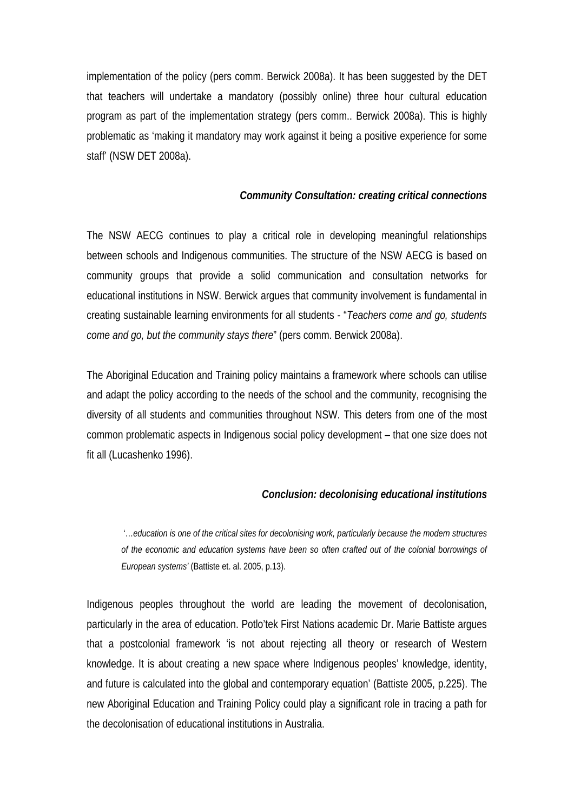implementation of the policy (pers comm. Berwick 2008a). It has been suggested by the DET that teachers will undertake a mandatory (possibly online) three hour cultural education program as part of the implementation strategy (pers comm.. Berwick 2008a). This is highly problematic as 'making it mandatory may work against it being a positive experience for some staff' (NSW DET 2008a).

#### *Community Consultation: creating critical connections*

The NSW AECG continues to play a critical role in developing meaningful relationships between schools and Indigenous communities. The structure of the NSW AECG is based on community groups that provide a solid communication and consultation networks for educational institutions in NSW. Berwick argues that community involvement is fundamental in creating sustainable learning environments for all students - "*Teachers come and go, students come and go, but the community stays there*" (pers comm. Berwick 2008a).

The Aboriginal Education and Training policy maintains a framework where schools can utilise and adapt the policy according to the needs of the school and the community, recognising the diversity of all students and communities throughout NSW. This deters from one of the most common problematic aspects in Indigenous social policy development – that one size does not fit all (Lucashenko 1996).

#### *Conclusion: decolonising educational institutions*

 '…*education is one of the critical sites for decolonising work, particularly because the modern structures of the economic and education systems have been so often crafted out of the colonial borrowings of European systems'* (Battiste et. al. 2005, p.13).

Indigenous peoples throughout the world are leading the movement of decolonisation, particularly in the area of education. Potlo'tek First Nations academic Dr. Marie Battiste argues that a postcolonial framework 'is not about rejecting all theory or research of Western knowledge. It is about creating a new space where Indigenous peoples' knowledge, identity, and future is calculated into the global and contemporary equation' (Battiste 2005, p.225). The new Aboriginal Education and Training Policy could play a significant role in tracing a path for the decolonisation of educational institutions in Australia.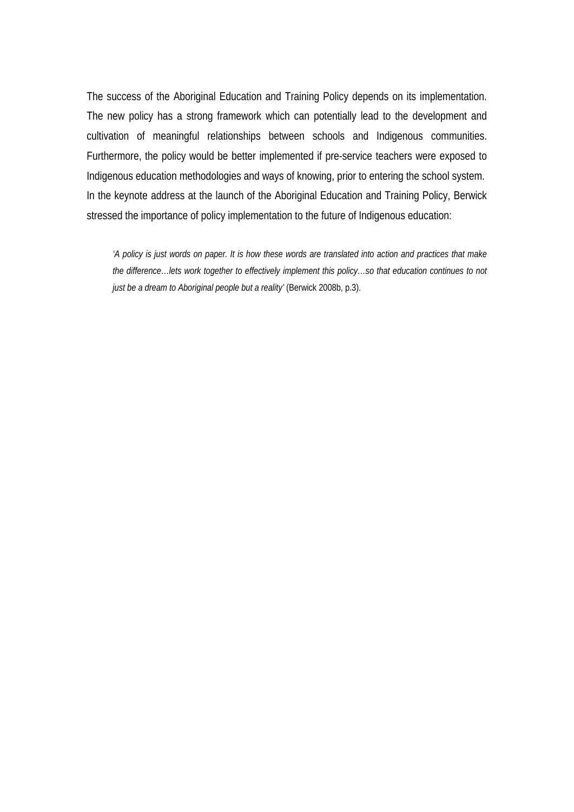The success of the Aboriginal Education and Training Policy depends on its implementation. The new policy has a strong framework which can potentially lead to the development and cultivation of meaningful relationships between schools and Indigenous communities. Furthermore, the policy would be better implemented if pre-service teachers were exposed to Indigenous education methodologies and ways of knowing, prior to entering the school system. In the keynote address at the launch of the Aboriginal Education and Training Policy, Berwick stressed the importance of policy implementation to the future of Indigenous education:

*'A policy is just words on paper. It is how these words are translated into action and practices that make the difference…lets work together to effectively implement this policy…so that education continues to not just be a dream to Aboriginal people but a reality'* (Berwick 2008b, p.3).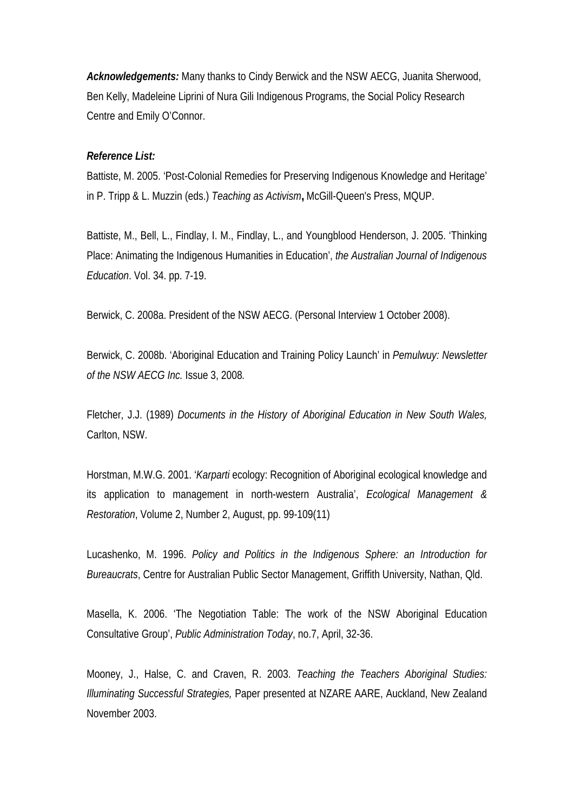*Acknowledgements:* Many thanks to Cindy Berwick and the NSW AECG, Juanita Sherwood, Ben Kelly, Madeleine Liprini of Nura Gili Indigenous Programs, the Social Policy Research Centre and Emily O'Connor.

#### *Reference List:*

Battiste, M. 2005. 'Post-Colonial Remedies for Preserving Indigenous Knowledge and Heritage' in P. Tripp & L. Muzzin (eds.) *Teaching as Activism***,** McGill-Queen's Press, MQUP.

Battiste, M., Bell, L., Findlay, I. M., Findlay, L., and Youngblood Henderson, J. 2005. 'Thinking Place: Animating the Indigenous Humanities in Education', *the Australian Journal of Indigenous Education*. Vol. 34. pp. 7-19.

Berwick, C. 2008a. President of the NSW AECG. (Personal Interview 1 October 2008).

Berwick, C. 2008b. 'Aboriginal Education and Training Policy Launch' in *Pemulwuy: Newsletter of the NSW AECG Inc.* Issue 3, 2008*.* 

Fletcher, J.J. (1989) *Documents in the History of Aboriginal Education in New South Wales,*  Carlton, NSW.

Horstman, M.W.G. 2001. '*Karparti* ecology: Recognition of Aboriginal ecological knowledge and its application to management in north-western Australia', *Ecological Management & Restoration*, Volume 2, Number 2, August, pp. 99-109(11)

Lucashenko, M. 1996. *Policy and Politics in the Indigenous Sphere: an Introduction for Bureaucrats*, Centre for Australian Public Sector Management, Griffith University, Nathan, Qld.

Masella, K. 2006. 'The Negotiation Table: The work of the NSW Aboriginal Education Consultative Group', *Public Administration Today*, no.7, April, 32-36.

Mooney, J., Halse, C. and Craven, R. 2003. *Teaching the Teachers Aboriginal Studies: Illuminating Successful Strategies,* Paper presented at NZARE AARE, Auckland, New Zealand November 2003.